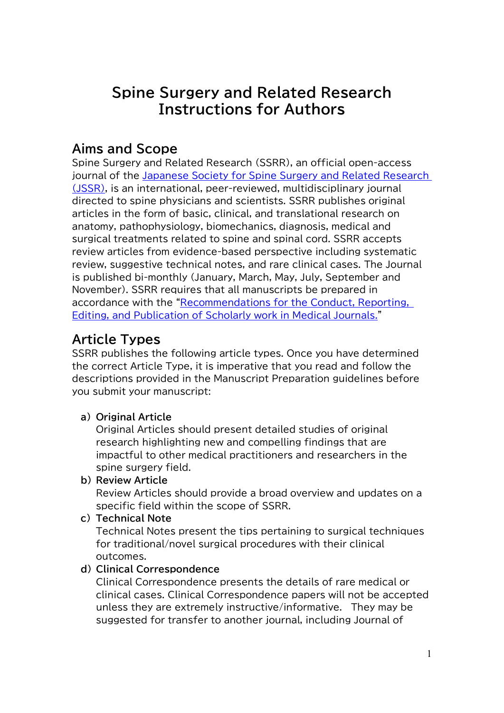# **Spine Surgery and Related Research Instructions for Authors**

## **Aims and Scope**

Spine Surgery and Related Research (SSRR), an official open-access journal of the [Japanese Society for Spine Surgery and Related Research](http://www.jssr.gr.jp/english/index.html) [\(JSSR\),](http://www.jssr.gr.jp/english/index.html) is an international, peer-reviewed, multidisciplinary journal directed to spine physicians and scientists. SSRR publishes original articles in the form of basic, clinical, and translational research on anatomy, pathophysiology, biomechanics, diagnosis, medical and surgical treatments related to spine and spinal cord. SSRR accepts review articles from evidence-based perspective including systematic review, suggestive technical notes, and rare clinical cases. The Journal is published bi-monthly (January, March, May, July, September and November). SSRR requires that all manuscripts be prepared in accordance with the ["Recommendations for the Conduct, Reporting,](http://www.icmje.org/recommendations/browse/)  [Editing, and Publication of Scholarly work in Medical Journals."](http://www.icmje.org/recommendations/browse/)

# **Article Types**

SSRR publishes the following article types. Once you have determined the correct Article Type, it is imperative that you read and follow the descriptions provided in the Manuscript Preparation guidelines before you submit your manuscript:

## **a) Original Article**

Original Articles should present detailed studies of original research highlighting new and compelling findings that are impactful to other medical practitioners and researchers in the spine surgery field.

#### **b) Review Article**

Review Articles should provide a broad overview and updates on a specific field within the scope of SSRR.

**c) Technical Note**

Technical Notes present the tips pertaining to surgical techniques for traditional/novel surgical procedures with their clinical outcomes.

## **d) Clinical Correspondence**

Clinical Correspondence presents the details of rare medical or clinical cases. Clinical Correspondence papers will not be accepted unless they are extremely instructive/informative. They may be suggested for transfer to another journal, including Journal of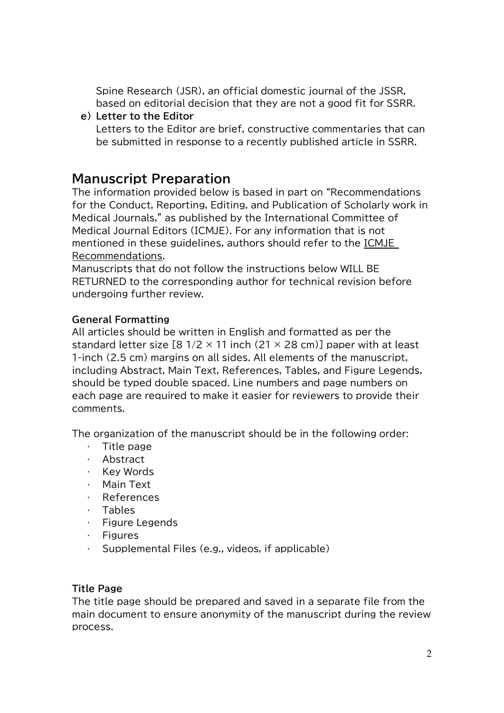Spine Research (JSR), an official domestic journal of the JSSR, based on editorial decision that they are not a good fit for SSRR.

**e) Letter to the Editor**

Letters to the Editor are brief, constructive commentaries that can be submitted in response to a recently published article in SSRR.

## **Manuscript Preparation**

The information provided below is based in part on "Recommendations for the Conduct, Reporting, Editing, and Publication of Scholarly work in Medical Journals," as published by the International Committee of Medical Journal Editors (ICMJE). For any information that is not mentioned in these guidelines, authors should refer to the [ICMJE](http://www.icmje.org/recommendations/browse/)  [Recommendations.](http://www.icmje.org/recommendations/browse/)

Manuscripts that do not follow the instructions below WILL BE RETURNED to the corresponding author for technical revision before undergoing further review.

## **General Formatting**

All articles should be written in English and formatted as per the standard letter size [8  $1/2 \times 11$  inch (21  $\times$  28 cm)] paper with at least 1-inch (2.5 cm) margins on all sides. All elements of the manuscript, including Abstract, Main Text, References, Tables, and Figure Legends, should be typed double spaced. Line numbers and page numbers on each page are required to make it easier for reviewers to provide their comments.

The organization of the manuscript should be in the following order:

- Title page
- Abstract
- $\cdot$  Key Words
- Main Text
- References
- $\cdot$  Tables
- $\cdot$  Figure Legends
- $\cdot$  Figures
- $\cdot$  Supplemental Files (e.g., videos, if applicable)

## **Title Page**

The title page should be prepared and saved in a separate file from the main document to ensure anonymity of the manuscript during the review process.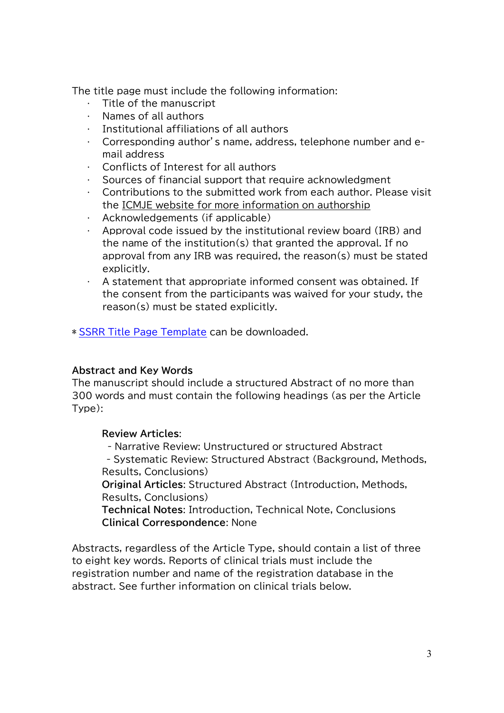The title page must include the following information:

- Title of the manuscript
- Names of all authors
- Institutional affiliations of all authors
- Corresponding author's name, address, telephone number and email address
- Conflicts of Interest for all authors
- Sources of financial support that require acknowledgment
- Contributions to the submitted work from each author. Please visit the [ICMJE website for more information on authorship](http://www.icmje.org/recommendations/browse/roles-and-responsibilities/defining-the-role-of-authors-and-contributors.html)
- Acknowledgements (if applicable)
- Approval code issued by the institutional review board (IRB) and the name of the institution(s) that granted the approval. If no approval from any IRB was required, the reason(s) must be stated explicitly.
- A statement that appropriate informed consent was obtained. If the consent from the participants was waived for your study, the reason(s) must be stated explicitly.

\* SSRR [Title Page](http://ssrr-journal.jp/wp-content/uploads/2021/07/Title-Page_template_2021.5.24.docx) Template can be downloaded.

#### **Abstract and Key Words**

The manuscript should include a structured Abstract of no more than 300 words and must contain the following headings (as per the Article Type):

## **Review Articles**:

- Narrative Review: Unstructured or structured Abstract - Systematic Review: Structured Abstract (Background, Methods, Results, Conclusions)

**Original Articles**: Structured Abstract (Introduction, Methods, Results, Conclusions)

**Technical Notes**: Introduction, Technical Note, Conclusions **Clinical Correspondence**: None

Abstracts, regardless of the Article Type, should contain a list of three to eight key words. Reports of clinical trials must include the registration number and name of the registration database in the abstract. See further information on clinical trials below.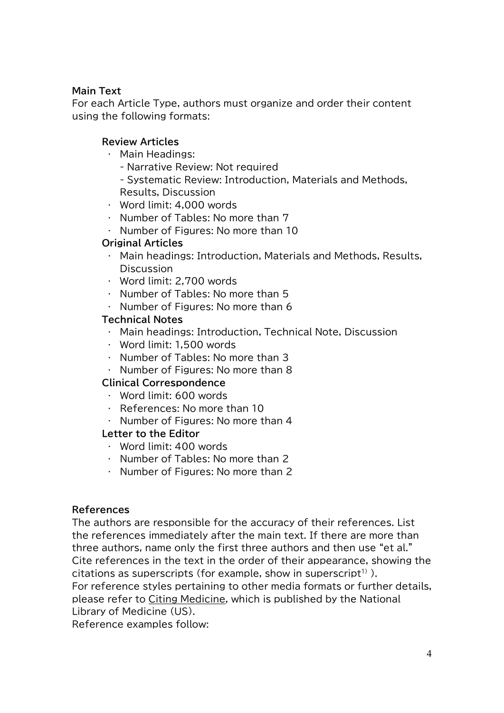### **Main Text**

For each Article Type, authors must organize and order their content using the following formats:

### **Review Articles**

- Main Headings:
	- Narrative Review: Not required

- Systematic Review: Introduction, Materials and Methods, Results, Discussion

- Word limit: 4,000 words
- $\cdot$  Number of Tables: No more than 7
- $\cdot$  Number of Figures: No more than 10

## **Original Articles**

- Main headings: Introduction, Materials and Methods, Results, **Discussion**
- Word limit: 2,700 words
- $\cdot$  Number of Tables: No more than 5
- $\cdot$  Number of Figures: No more than 6

#### **Technical Notes**

- Main headings: Introduction, Technical Note, Discussion
- Word limit: 1,500 words
- Number of Tables: No more than 3
- $\cdot$  Number of Figures: No more than 8

#### **Clinical Correspondence**

- Word limit: 600 words
- References: No more than 10
- $\cdot$  Number of Figures: No more than 4

#### **Letter to the Editor**

- Word limit: 400 words
- $\cdot$  Number of Tables: No more than 2
- $\cdot$  Number of Figures: No more than 2

#### **References**

The authors are responsible for the accuracy of their references. List the references immediately after the main text. If there are more than three authors, name only the first three authors and then use "et al." Cite references in the text in the order of their appearance, showing the citations as superscripts (for example, show in superscript<sup>1)</sup>).

For reference styles pertaining to other media formats or further details, please refer to [Citing Medicine,](https://www.ncbi.nlm.nih.gov/books/NBK7256/) which is published by the National Library of Medicine (US).

Reference examples follow: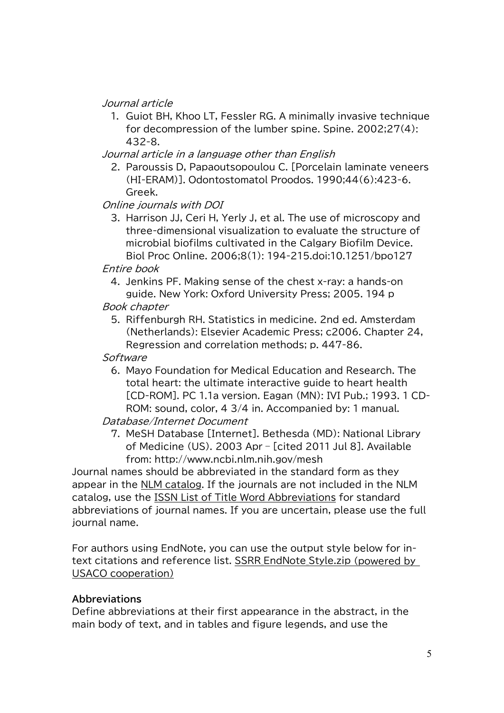Journal article

1. Guiot BH, Khoo LT, Fessler RG. A minimally invasive technique for decompression of the lumber spine. Spine. 2002;27(4): 432-8.

Journal article in a language other than English

2. Paroussis D, Papaoutsopoulou C. [Porcelain laminate veneers (HI-ERAM)]. Odontostomatol Proodos. 1990;44(6):423-6. Greek.

Online journals with DOI

3. Harrison JJ, Ceri H, Yerly J, et al. The use of microscopy and three-dimensional visualization to evaluate the structure of microbial biofilms cultivated in the Calgary Biofilm Device. Biol Proc Online. 2006;8(1): 194-215.doi:10.1251/bpo127

#### Entire book

4. Jenkins PF. Making sense of the chest x-ray: a hands-on guide. New York: Oxford University Press; 2005. 194 p

#### Book chapter

5. Riffenburgh RH. Statistics in medicine. 2nd ed. Amsterdam (Netherlands): Elsevier Academic Press; c2006. Chapter 24, Regression and correlation methods; p. 447-86.

### **Software**

6. Mayo Foundation for Medical Education and Research. The total heart: the ultimate interactive guide to heart health [CD-ROM]. PC 1.1a version. Eagan (MN): IVI Pub.; 1993. 1 CD-ROM: sound, color, 4 3/4 in. Accompanied by: 1 manual.

Database/Internet Document

7. MeSH Database [Internet]. Bethesda (MD): National Library of Medicine (US). 2003 Apr – [cited 2011 Jul 8]. Available from: http://www.ncbi.nlm.nih.gov/mesh

Journal names should be abbreviated in the standard form as they appear in the [NLM catalog.](https://www.ncbi.nlm.nih.gov/nlmcatalog/journals) If the journals are not included in the NLM catalog, use the [ISSN List of Title Word Abbreviations](http://www.issn.org/services/online-services/access-to-the-ltwa/) for standard abbreviations of journal names. If you are uncertain, please use the full journal name.

For authors using EndNote, you can use the output style below for intext citations and reference list. [SSRR\\_EndNote\\_Style.zip](http://ssrr-journal.jp/wp-content/uploads/2016/09/SSRR_EndNote_Style.zip) (powered by USACO cooperation)

## **Abbreviations**

Define abbreviations at their first appearance in the abstract, in the main body of text, and in tables and figure legends, and use the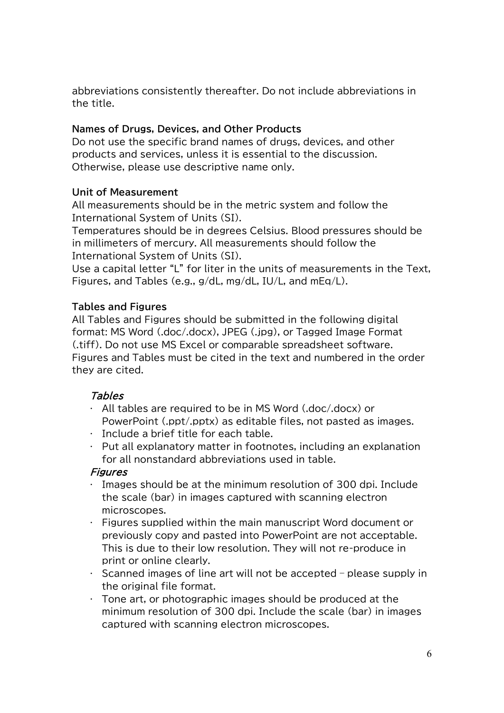abbreviations consistently thereafter. Do not include abbreviations in the title.

### **Names of Drugs, Devices, and Other Products**

Do not use the specific brand names of drugs, devices, and other products and services, unless it is essential to the discussion. Otherwise, please use descriptive name only.

### **Unit of Measurement**

All measurements should be in the metric system and follow the International System of Units (SI).

Temperatures should be in degrees Celsius. Blood pressures should be in millimeters of mercury. All measurements should follow the International System of Units (SI).

Use a capital letter "L" for liter in the units of measurements in the Text, Figures, and Tables (e.g., g/dL, mg/dL, IU/L, and mEq/L).

### **Tables and Figures**

All Tables and Figures should be submitted in the following digital format: MS Word (.doc/.docx), JPEG (.jpg), or Tagged Image Format (.tiff). Do not use MS Excel or comparable spreadsheet software. Figures and Tables must be cited in the text and numbered in the order they are cited.

## Tables

- All tables are required to be in MS Word (.doc/.docx) or PowerPoint (.ppt/.pptx) as editable files, not pasted as images.
- $\cdot$  Include a brief title for each table.
- $\cdot$  Put all explanatory matter in footnotes, including an explanation for all nonstandard abbreviations used in table.

## **Figures**

- Images should be at the minimum resolution of 300 dpi. Include the scale (bar) in images captured with scanning electron microscopes.
- Figures supplied within the main manuscript Word document or previously copy and pasted into PowerPoint are not acceptable. This is due to their low resolution. They will not re-produce in print or online clearly.
- $\cdot$  Scanned images of line art will not be accepted please supply in the original file format.
- Tone art, or photographic images should be produced at the minimum resolution of 300 dpi. Include the scale (bar) in images captured with scanning electron microscopes.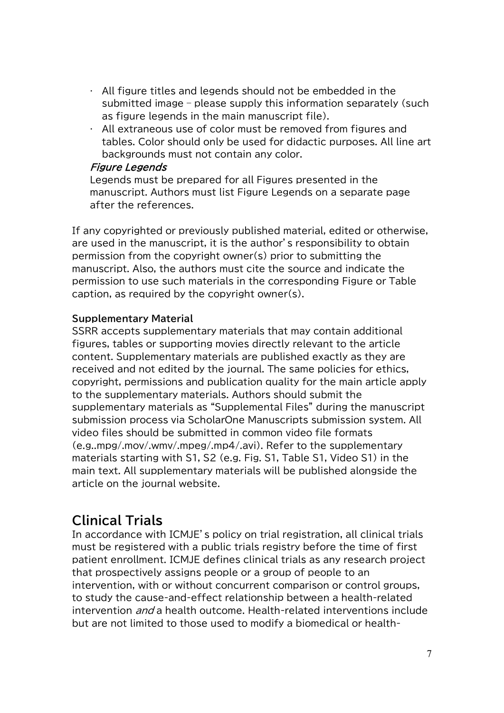- All figure titles and legends should not be embedded in the submitted image – please supply this information separately (such as figure legends in the main manuscript file).
- All extraneous use of color must be removed from figures and tables. Color should only be used for didactic purposes. All line art backgrounds must not contain any color.

#### Figure Legends

Legends must be prepared for all Figures presented in the manuscript. Authors must list Figure Legends on a separate page after the references.

If any copyrighted or previously published material, edited or otherwise, are used in the manuscript, it is the author's responsibility to obtain permission from the copyright owner(s) prior to submitting the manuscript. Also, the authors must cite the source and indicate the permission to use such materials in the corresponding Figure or Table caption, as required by the copyright owner(s).

### **Supplementary Material**

SSRR accepts supplementary materials that may contain additional figures, tables or supporting movies directly relevant to the article content. Supplementary materials are published exactly as they are received and not edited by the journal. The same policies for ethics, copyright, permissions and publication quality for the main article apply to the supplementary materials. Authors should submit the supplementary materials as "Supplemental Files" during the manuscript submission process via ScholarOne Manuscripts submission system. All video files should be submitted in common video file formats (e.g..mpg/.mov/.wmv/.mpeg/.mp4/.avi). Refer to the supplementary materials starting with S1, S2 (e.g. Fig. S1, Table S1, Video S1) in the main text. All supplementary materials will be published alongside the article on the journal website.

## **Clinical Trials**

In accordance with ICMJE's policy on trial registration, all clinical trials must be registered with a public trials registry before the time of first patient enrollment. ICMJE defines clinical trials as any research project that prospectively assigns people or a group of people to an intervention, with or without concurrent comparison or control groups, to study the cause-and-effect relationship between a health-related intervention *and* a health outcome. Health-related interventions include but are not limited to those used to modify a biomedical or health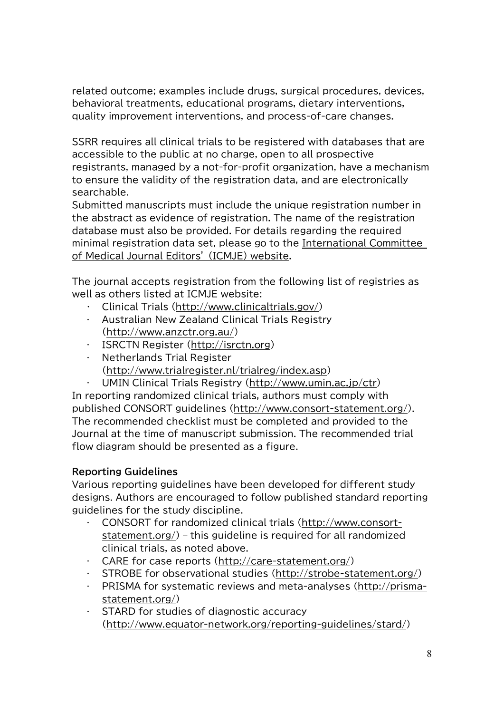related outcome; examples include drugs, surgical procedures, devices, behavioral treatments, educational programs, dietary interventions, quality improvement interventions, and process-of-care changes.

SSRR requires all clinical trials to be registered with databases that are accessible to the public at no charge, open to all prospective registrants, managed by a not-for-profit organization, have a mechanism to ensure the validity of the registration data, and are electronically searchable.

Submitted manuscripts must include the unique registration number in the abstract as evidence of registration. The name of the registration database must also be provided. For details regarding the required minimal registration data set, please go to the [International Committee](http://www.icmje.org/recommendations/browse/publishing-and-editorial-issues/clinical-trial-registration.html) [of Medical Journal Editors'](http://www.icmje.org/recommendations/browse/publishing-and-editorial-issues/clinical-trial-registration.html) (ICMJE) website.

The journal accepts registration from the following list of registries as well as others listed at ICMJE website:

- Clinical Trials [\(http://www.clinicaltrials.gov/\)](http://www.clinicaltrials.gov/)
- Australian New Zealand Clinical Trials Registry [\(http://www.anzctr.org.au/\)](http://www.anzctr.org.au/)
- · ISRCTN Register [\(http://isrctn.org\)](http://isrctn.org/)
- $\cdot$  Netherlands Trial Register [\(http://www.trialregister.nl/trialreg/index.asp\)](http://www.trialregister.nl/trialreg/index.asp)
	-

 UMIN Clinical Trials Registry [\(http://www.umin.ac.jp/ctr\)](http://www.umin.ac.jp/ctr) In reporting randomized clinical trials, authors must comply with published CONSORT guidelines [\(http://www.consort-statement.org/\)](http://www.consort-statement.org/). The recommended checklist must be completed and provided to the Journal at the time of manuscript submission. The recommended trial flow diagram should be presented as a figure.

## **Reporting Guidelines**

Various reporting guidelines have been developed for different study designs. Authors are encouraged to follow published standard reporting guidelines for the study discipline.

- CONSORT for randomized clinical trials [\(http://www.consort](http://www.consort-statement.org/)[statement.org/\)](http://www.consort-statement.org/) – this guideline is required for all randomized clinical trials, as noted above.
- CARE for case reports [\(http://care-statement.org/\)](http://care-statement.org/)
- $\cdot$  STROBE for observational studies [\(http://strobe-statement.org/\)](http://strobe-statement.org/)
- PRISMA for systematic reviews and meta-analyses [\(http://prisma](http://prisma-statement.org/)[statement.org/\)](http://prisma-statement.org/)
- $\cdot$  STARD for studies of diagnostic accuracy [\(http://www.equator-network.org/reporting-guidelines/stard/\)](http://www.equator-network.org/reporting-guidelines/stard/)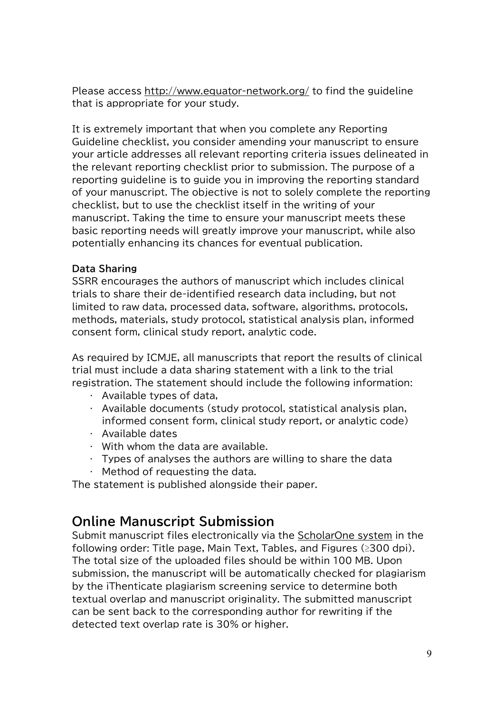Please access<http://www.equator-network.org/> to find the guideline that is appropriate for your study.

It is extremely important that when you complete any Reporting Guideline checklist, you consider amending your manuscript to ensure your article addresses all relevant reporting criteria issues delineated in the relevant reporting checklist prior to submission. The purpose of a reporting guideline is to guide you in improving the reporting standard of your manuscript. The objective is not to solely complete the reporting checklist, but to use the checklist itself in the writing of your manuscript. Taking the time to ensure your manuscript meets these basic reporting needs will greatly improve your manuscript, while also potentially enhancing its chances for eventual publication.

### **Data Sharing**

SSRR encourages the authors of manuscript which includes clinical trials to share their de-identified research data including, but not limited to raw data, processed data, software, algorithms, protocols, methods, materials, study protocol, statistical analysis plan, informed consent form, clinical study report, analytic code.

As required by ICMJE, all manuscripts that report the results of clinical trial must include a data sharing statement with a link to the trial registration. The statement should include the following information:

- $\cdot$  Available types of data.
- $\cdot$  Available documents (study protocol, statistical analysis plan, informed consent form, clinical study report, or analytic code)
- $\cdot$  Available dates
- $\cdot$  With whom the data are available.
- $\cdot$  Types of analyses the authors are willing to share the data
- Method of requesting the data.

The statement is published alongside their paper.

## **Online Manuscript Submission**

Submit manuscript files electronically via the [ScholarOne system](https://mc.manuscriptcentral.com/ssrr) in the following order: Title page, Main Text, Tables, and Figures  $(≥300$  dpi). The total size of the uploaded files should be within 100 MB. Upon submission, the manuscript will be automatically checked for plagiarism by the iThenticate plagiarism screening service to determine both textual overlap and manuscript originality. The submitted manuscript can be sent back to the corresponding author for rewriting if the detected text overlap rate is 30% or higher.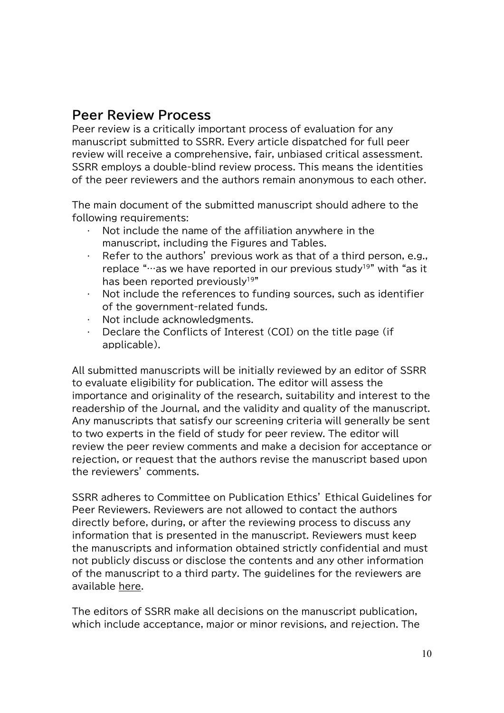## **Peer Review Process**

Peer review is a critically important process of evaluation for any manuscript submitted to SSRR. Every article dispatched for full peer review will receive a comprehensive, fair, unbiased critical assessment. SSRR employs a double-blind review process. This means the identities of the peer reviewers and the authors remain anonymous to each other.

The main document of the submitted manuscript should adhere to the following requirements:

- Not include the name of the affiliation anywhere in the manuscript, including the Figures and Tables.
- Refer to the authors' previous work as that of a third person, e.g., replace " $\cdots$  as we have reported in our previous study<sup>19"</sup> with "as it has been reported previously<sup>19"</sup>
- Not include the references to funding sources, such as identifier of the government-related funds.
- . Not include acknowledgments.
- Declare the Conflicts of Interest (COI) on the title page (if applicable).

All submitted manuscripts will be initially reviewed by an editor of SSRR to evaluate eligibility for publication. The editor will assess the importance and originality of the research, suitability and interest to the readership of the Journal, and the validity and quality of the manuscript. Any manuscripts that satisfy our screening criteria will generally be sent to two experts in the field of study for peer review. The editor will review the peer review comments and make a decision for acceptance or rejection, or request that the authors revise the manuscript based upon the reviewers' comments.

SSRR adheres to Committee on Publication Ethics' Ethical Guidelines for Peer Reviewers. Reviewers are not allowed to contact the authors directly before, during, or after the reviewing process to discuss any information that is presented in the manuscript. Reviewers must keep the manuscripts and information obtained strictly confidential and must not publicly discuss or disclose the contents and any other information of the manuscript to a third party. The guidelines for the reviewers are available [here.](http://ssrr-journal.jp/reviewers/)

The editors of SSRR make all decisions on the manuscript publication, which include acceptance, major or minor revisions, and rejection. The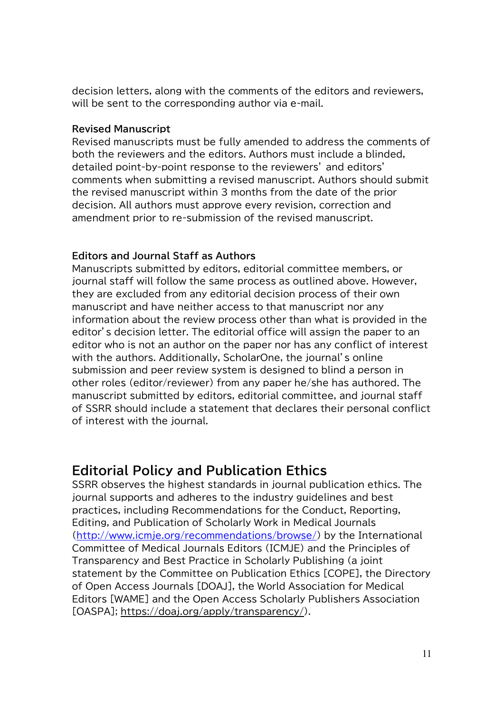decision letters, along with the comments of the editors and reviewers, will be sent to the corresponding author via e-mail.

#### **Revised Manuscript**

Revised manuscripts must be fully amended to address the comments of both the reviewers and the editors. Authors must include a blinded, detailed point-by-point response to the reviewers' and editors' comments when submitting a revised manuscript. Authors should submit the revised manuscript within 3 months from the date of the prior decision. All authors must approve every revision, correction and amendment prior to re-submission of the revised manuscript.

#### **Editors and Journal Staff as Authors**

Manuscripts submitted by editors, editorial committee members, or journal staff will follow the same process as outlined above. However, they are excluded from any editorial decision process of their own manuscript and have neither access to that manuscript nor any information about the review process other than what is provided in the editor's decision letter. The editorial office will assign the paper to an editor who is not an author on the paper nor has any conflict of interest with the authors. Additionally, ScholarOne, the journal's online submission and peer review system is designed to blind a person in other roles (editor/reviewer) from any paper he/she has authored. The manuscript submitted by editors, editorial committee, and journal staff of SSRR should include a statement that declares their personal conflict of interest with the journal.

## **Editorial Policy and Publication Ethics**

SSRR observes the highest standards in journal publication ethics. The journal supports and adheres to the industry guidelines and best practices, including Recommendations for the Conduct, Reporting, Editing, and Publication of Scholarly Work in Medical Journals [\(http://www.icmje.org/recommendations/browse/\)](http://www.icmje.org/recommendations/browse/) by the International Committee of Medical Journals Editors (ICMJE) and the Principles of Transparency and Best Practice in Scholarly Publishing (a joint statement by the Committee on Publication Ethics [COPE], the Directory of Open Access Journals [DOAJ], the World Association for Medical Editors [WAME] and the Open Access Scholarly Publishers Association [OASPA]; [https://doaj.org/apply/transparency/\)](https://doaj.org/apply/transparency/).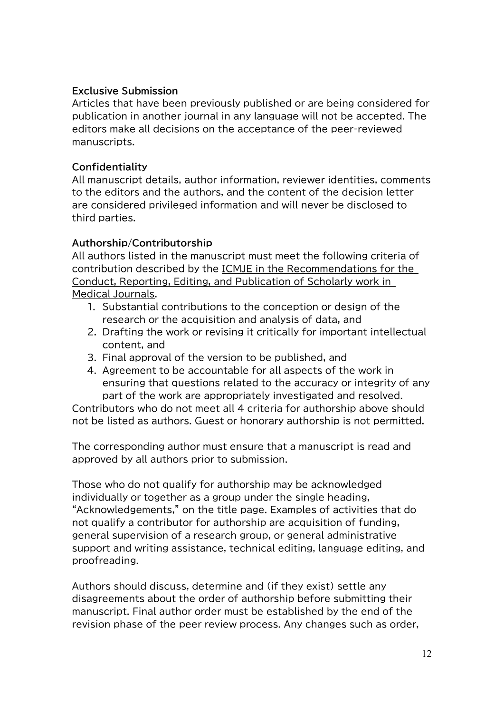## **Exclusive Submission**

Articles that have been previously published or are being considered for publication in another journal in any language will not be accepted. The editors make all decisions on the acceptance of the peer-reviewed manuscripts.

### **Confidentiality**

All manuscript details, author information, reviewer identities, comments to the editors and the authors, and the content of the decision letter are considered privileged information and will never be disclosed to third parties.

### **Authorship/Contributorship**

All authors listed in the manuscript must meet the following criteria of contribution described by the [ICMJE in the Recommendations for the](http://www.icmje.org/recommendations/browse/roles-and-responsibilities/defining-the-role-of-authors-and-contributors.html)  [Conduct, Reporting, Editing, and Publication of Scholarly work in](http://www.icmje.org/recommendations/browse/roles-and-responsibilities/defining-the-role-of-authors-and-contributors.html)  [Medical Journals.](http://www.icmje.org/recommendations/browse/roles-and-responsibilities/defining-the-role-of-authors-and-contributors.html)

- 1. Substantial contributions to the conception or design of the research or the acquisition and analysis of data, and
- 2. Drafting the work or revising it critically for important intellectual content, and
- 3. Final approval of the version to be published, and
- 4. Agreement to be accountable for all aspects of the work in ensuring that questions related to the accuracy or integrity of any part of the work are appropriately investigated and resolved.

Contributors who do not meet all 4 criteria for authorship above should not be listed as authors. Guest or honorary authorship is not permitted.

The corresponding author must ensure that a manuscript is read and approved by all authors prior to submission.

Those who do not qualify for authorship may be acknowledged individually or together as a group under the single heading, "Acknowledgements," on the title page. Examples of activities that do not qualify a contributor for authorship are acquisition of funding, general supervision of a research group, or general administrative support and writing assistance, technical editing, language editing, and proofreading.

Authors should discuss, determine and (if they exist) settle any disagreements about the order of authorship before submitting their manuscript. Final author order must be established by the end of the revision phase of the peer review process. Any changes such as order,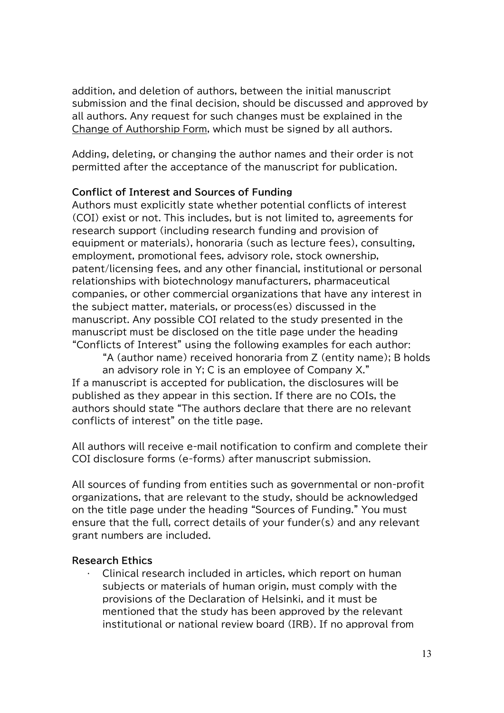addition, and deletion of authors, between the initial manuscript submission and the final decision, should be discussed and approved by all authors. Any request for such changes must be explained in the [Change of Authorship Form,](http://ssrr-journal.jp/wp-content/uploads/2017/11/ssrr_change_of_author.pdf) which must be signed by all authors.

Adding, deleting, or changing the author names and their order is not permitted after the acceptance of the manuscript for publication.

#### **Conflict of Interest and Sources of Funding**

Authors must explicitly state whether potential conflicts of interest (COI) exist or not. This includes, but is not limited to, agreements for research support (including research funding and provision of equipment or materials), honoraria (such as lecture fees), consulting, employment, promotional fees, advisory role, stock ownership, patent/licensing fees, and any other financial, institutional or personal relationships with biotechnology manufacturers, pharmaceutical companies, or other commercial organizations that have any interest in the subject matter, materials, or process(es) discussed in the manuscript. Any possible COI related to the study presented in the manuscript must be disclosed on the title page under the heading "Conflicts of Interest" using the following examples for each author:

"A (author name) received honoraria from Z (entity name); B holds

an advisory role in Y; C is an employee of Company X." If a manuscript is accepted for publication, the disclosures will be published as they appear in this section. If there are no COIs, the authors should state "The authors declare that there are no relevant conflicts of interest" on the title page.

All authors will receive e-mail notification to confirm and complete their COI disclosure forms (e-forms) after manuscript submission.

All sources of funding from entities such as governmental or non-profit organizations, that are relevant to the study, should be acknowledged on the title page under the heading "Sources of Funding." You must ensure that the full, correct details of your funder(s) and any relevant grant numbers are included.

#### **Research Ethics**

 Clinical research included in articles, which report on human subjects or materials of human origin, must comply with the provisions of the Declaration of Helsinki, and it must be mentioned that the study has been approved by the relevant institutional or national review board (IRB). If no approval from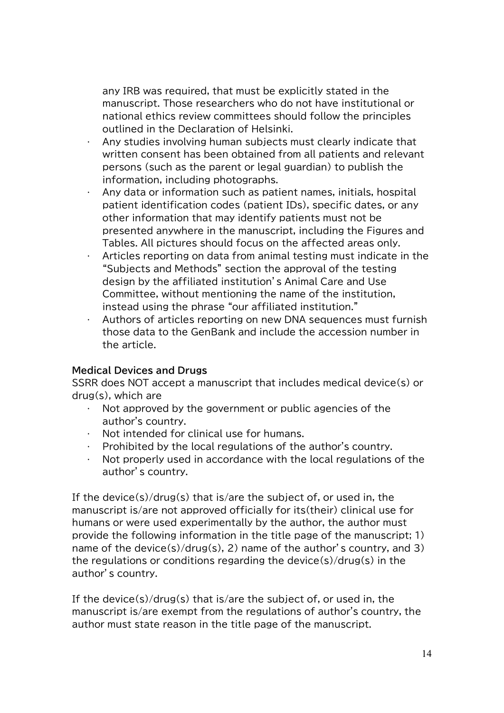any IRB was required, that must be explicitly stated in the manuscript. Those researchers who do not have institutional or national ethics review committees should follow the principles outlined in the Declaration of Helsinki.

- Any studies involving human subjects must clearly indicate that written consent has been obtained from all patients and relevant persons (such as the parent or legal guardian) to publish the information, including photographs.
- Any data or information such as patient names, initials, hospital patient identification codes (patient IDs), specific dates, or any other information that may identify patients must not be presented anywhere in the manuscript, including the Figures and Tables. All pictures should focus on the affected areas only.
- Articles reporting on data from animal testing must indicate in the "Subjects and Methods" section the approval of the testing design by the affiliated institution's Animal Care and Use Committee, without mentioning the name of the institution, instead using the phrase "our affiliated institution."
- Authors of articles reporting on new DNA sequences must furnish those data to the GenBank and include the accession number in the article.

#### **Medical Devices and Drugs**

SSRR does NOT accept a manuscript that includes medical device(s) or drug(s), which are

- Not approved by the government or public agencies of the author's country.
- $\cdot$  Not intended for clinical use for humans.
- Prohibited by the local regulations of the author's country.
- Not properly used in accordance with the local regulations of the author's country.

If the device(s)/drug(s) that is/are the subject of, or used in, the manuscript is/are not approved officially for its(their) clinical use for humans or were used experimentally by the author, the author must provide the following information in the title page of the manuscript; 1) name of the device(s)/drug(s), 2) name of the author's country, and 3) the regulations or conditions regarding the device(s)/drug(s) in the author's country.

If the device(s)/drug(s) that is/are the subject of, or used in, the manuscript is/are exempt from the regulations of author's country, the author must state reason in the title page of the manuscript.